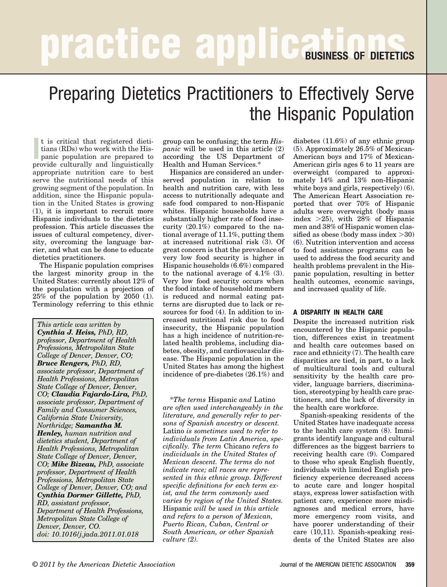# **practice applications** of Dieterics

## Preparing Dietetics Practitioners to Effectively Serve the Hispanic Population

It is critical that registered dietitians (RDs) who work with the Hispanic population are prepared to provide culturally and linguistically t is critical that registered dietitians (RDs) who work with the Hispanic population are prepared to appropriate nutrition care to best serve the nutritional needs of this growing segment of the population. In addition, since the Hispanic population in the United States is growing [\(1\)](#page-4-0), it is important to recruit more Hispanic individuals to the dietetics profession. This article discusses the issues of cultural competency, diversity, overcoming the language barrier, and what can be done to educate dietetics practitioners.

The Hispanic population comprises the largest minority group in the United States: currently about 12% of the population with a projection of 25% of the population by 2050 [\(1\)](#page-4-0). Terminology referring to this ethnic

*This article was written by Cynthia J. Heiss, PhD, RD, professor, Department of Health Professions, Metropolitan State College of Denver, Denver, CO; Bruce Rengers, PhD, RD, associate professor, Department of Health Professions, Metropolitan State College of Denver, Denver, CO; Claudia Fajardo-Lira, PhD, associate professor, Department of Family and Consumer Sciences, California State University, Northridge; Samantha M. Henley, human nutrition and dietetics student, Department of Health Professions, Metropolitan State College of Denver, Denver, CO; Mike Bizeau, PhD, associate professor, Department of Health Professions, Metropolitan State College of Denver, Denver, CO; and Cynthia Dormer Gillette, PhD, RD, assistant professor, Department of Health Professions, Metropolitan State College of Denver, Denver, CO. doi: 10.1016/j.jada.2011.01.018*

group can be confusing; the term *Hispanic* will be used in this article [\(2\)](#page-4-0) according the US Department of Health and Human Services.\*

Hispanics are considered an underserved population in relation to health and nutrition care, with less access to nutritionally adequate and safe food compared to non-Hispanic whites. Hispanic households have a substantially higher rate of food insecurity (20.1%) compared to the national average of 11.1%, putting them at increased nutritional risk [\(3\)](#page-4-0). Of great concern is that the prevalence of very low food security is higher in Hispanic households (6.6%) compared to the national average of 4.1% [\(3\)](#page-4-0). Very low food security occurs when the food intake of household members is reduced and normal eating patterns are disrupted due to lack or resources for food [\(4\)](#page-4-0). In addition to increased nutritional risk due to food insecurity, the Hispanic population has a high incidence of nutrition-related health problems, including diabetes, obesity, and cardiovascular disease. The Hispanic population in the United States has among the highest incidence of pre-diabetes (26.1%) and

\**The terms* Hispanic *and* Latino *are often used interchangeably in the literature, and generally refer to persons of Spanish ancestry or descent.* Latino *is sometimes used to refer to individuals from Latin America, specifically. The term* Chicano *refers to individuals in the United States of Mexican descent. The terms do not indicate race; all races are represented in this ethnic group. Different specific definitions for each term exist, and the term commonly used varies by region of the United States.* Hispanic *will be used in this article and refers to a person of Mexican, Puerto Rican, Cuban, Central or South American, or other Spanish culture (2).*

diabetes (11.6%) of any ethnic group [\(5\)](#page-4-0). Approximately 26.5% of Mexican-American boys and 17% of Mexican-American girls ages 6 to 11 years are overweight (compared to approximately 14% and 13% non-Hispanic white boys and girls, respectively) [\(6\)](#page-4-0). The American Heart Association reported that over 70% of Hispanic adults were overweight (body mass index 25), with 28% of Hispanic men and 38% of Hispanic women classified as obese (body mass index  $>30$ ) [\(6\)](#page-4-0). Nutrition intervention and access to food assistance programs can be used to address the food security and health problems prevalent in the Hispanic population, resulting in better health outcomes, economic savings, and increased quality of life.

#### **A DISPARITY IN HEALTH CARE**

Despite the increased nutrition risk encountered by the Hispanic population, differences exist in treatment and health care outcomes based on race and ethnicity [\(7\)](#page-4-0). The health care disparities are tied, in part, to a lack of multicultural tools and cultural sensitivity by the health care provider, language barriers, discrimination, stereotyping by health care practitioners, and the lack of diversity in the health care workforce.

Spanish-speaking residents of the United States have inadequate access to the health care system [\(8\)](#page-4-0). Immigrants identify language and cultural differences as the biggest barriers to receiving health care [\(9\)](#page-4-0). Compared to those who speak English fluently, individuals with limited English proficiency experience decreased access to acute care and longer hospital stays, express lower satisfaction with patient care, experience more misdiagnoses and medical errors, have more emergency room visits, and have poorer understanding of their care [\(10,11\)](#page-4-0). Spanish-speaking residents of the United States are also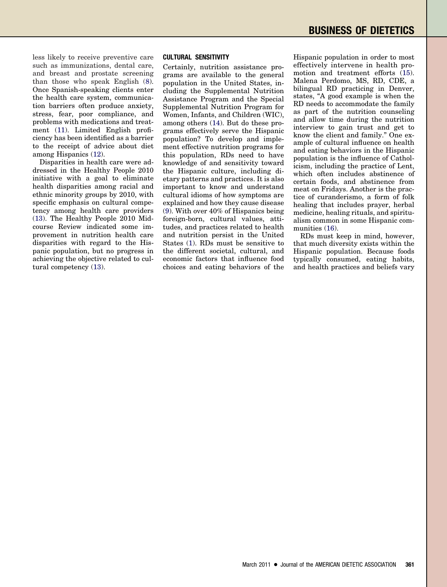less likely to receive preventive care such as immunizations, dental care, and breast and prostate screening than those who speak English [\(8\)](#page-4-0). Once Spanish-speaking clients enter the health care system, communication barriers often produce anxiety, stress, fear, poor compliance, and problems with medications and treatment [\(11\)](#page-4-0). Limited English proficiency has been identified as a barrier to the receipt of advice about diet among Hispanics [\(12\)](#page-4-0).

Disparities in health care were addressed in the Healthy People 2010 initiative with a goal to eliminate health disparities among racial and ethnic minority groups by 2010, with specific emphasis on cultural competency among health care providers [\(13\)](#page-4-0). The Healthy People 2010 Midcourse Review indicated some improvement in nutrition health care disparities with regard to the Hispanic population, but no progress in achieving the objective related to cultural competency [\(13\)](#page-4-0).

#### **CULTURAL SENSITIVITY**

Certainly, nutrition assistance programs are available to the general population in the United States, including the Supplemental Nutrition Assistance Program and the Special Supplemental Nutrition Program for Women, Infants, and Children (WIC), among others [\(14\)](#page-4-0). But do these programs effectively serve the Hispanic population? To develop and implement effective nutrition programs for this population, RDs need to have knowledge of and sensitivity toward the Hispanic culture, including dietary patterns and practices. It is also important to know and understand cultural idioms of how symptoms are explained and how they cause disease [\(9\)](#page-4-0). With over 40% of Hispanics being foreign-born, cultural values, attitudes, and practices related to health and nutrition persist in the United States [\(1\)](#page-4-0). RDs must be sensitive to the different societal, cultural, and economic factors that influence food choices and eating behaviors of the

Hispanic population in order to most effectively intervene in health promotion and treatment efforts [\(15\)](#page-4-0). Malena Perdomo, MS, RD, CDE, a bilingual RD practicing in Denver, states, "A good example is when the RD needs to accommodate the family as part of the nutrition counseling and allow time during the nutrition interview to gain trust and get to know the client and family." One example of cultural influence on health and eating behaviors in the Hispanic population is the influence of Catholicism, including the practice of Lent, which often includes abstinence of certain foods, and abstinence from meat on Fridays. Another is the practice of curanderismo, a form of folk healing that includes prayer, herbal medicine, healing rituals, and spiritualism common in some Hispanic communities [\(16\)](#page-4-0).

RDs must keep in mind, however, that much diversity exists within the Hispanic population. Because foods typically consumed, eating habits, and health practices and beliefs vary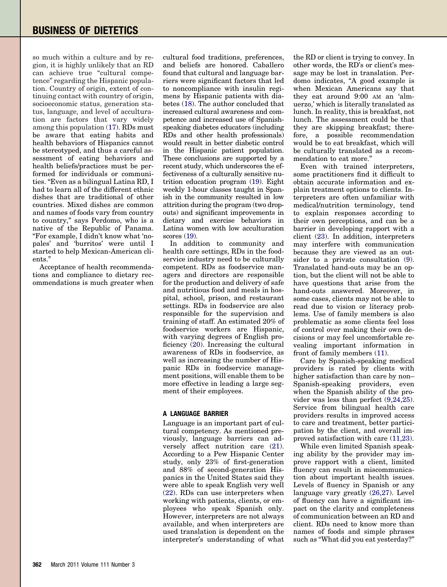so much within a culture and by region, it is highly unlikely that an RD can achieve true "cultural competence" regarding the Hispanic population. Country of origin, extent of continuing contact with country of origin, socioeconomic status, generation status, language, and level of acculturation are factors that vary widely among this population [\(17\)](#page-4-0). RDs must be aware that eating habits and health behaviors of Hispanics cannot be stereotyped, and thus a careful assessment of eating behaviors and health beliefs/practices must be performed for individuals or communities. "Even as a bilingual Latina RD, I had to learn all of the different ethnic dishes that are traditional of other countries. Mixed dishes are common and names of foods vary from country to country," says Perdomo, who is a native of the Republic of Panama. "For example, I didn't know what 'nopales' and 'burritos' were until I started to help Mexican-American clients."

Acceptance of health recommendations and compliance to dietary recommendations is much greater when cultural food traditions, preferences, and beliefs are honored. Caballero found that cultural and language barriers were significant factors that led to noncompliance with insulin regimens by Hispanic patients with diabetes [\(18\)](#page-4-0). The author concluded that increased cultural awareness and competence and increased use of Spanishspeaking diabetes educators (including RDs and other health professionals) would result in better diabetic control in the Hispanic patient population. These conclusions are supported by a recent study, which underscores the effectiveness of a culturally sensitive nutrition education program [\(19\)](#page-4-0). Eight weekly 1-hour classes taught in Spanish in the community resulted in low attrition during the program (two dropouts) and significant improvements in dietary and exercise behaviors in Latina women with low acculturation scores [\(19\)](#page-4-0).

In addition to community and health care settings, RDs in the foodservice industry need to be culturally competent. RDs as foodservice managers and directors are responsible for the production and delivery of safe and nutritious food and meals in hospital, school, prison, and restaurant settings. RDs in foodservice are also responsible for the supervision and training of staff. An estimated 20% of foodservice workers are Hispanic, with varying degrees of English proficiency [\(20\)](#page-4-0). Increasing the cultural awareness of RDs in foodservice, as well as increasing the number of Hispanic RDs in foodservice management positions, will enable them to be more effective in leading a large segment of their employees.

### **A LANGUAGE BARRIER**

Language is an important part of cultural competency. As mentioned previously, language barriers can adversely affect nutrition care [\(21\)](#page-4-0). According to a Pew Hispanic Center study, only 23% of first-generation and 88% of second-generation Hispanics in the United States said they were able to speak English very well [\(22\)](#page-4-0). RDs can use interpreters when working with patients, clients, or employees who speak Spanish only. However, interpreters are not always available, and when interpreters are used translation is dependent on the interpreter's understanding of what

the RD or client is trying to convey. In other words, the RD's or client's message may be lost in translation. Perdomo indicates, "A good example is when Mexican Americans say that they eat around 9:00 AM an 'almuerzo,' which is literally translated as lunch. In reality, this is breakfast, not lunch. The assessment could be that they are skipping breakfast; therefore, a possible recommendation would be to eat breakfast, which will be culturally translated as a recommendation to eat more."

Even with trained interpreters, some practitioners find it difficult to obtain accurate information and explain treatment options to clients. Interpreters are often unfamiliar with medical/nutrition terminology, tend to explain responses according to their own perceptions, and can be a barrier in developing rapport with a client [\(23\)](#page-4-0). In addition, interpreters may interfere with communication because they are viewed as an outsider to a private consultation [\(9\)](#page-4-0). Translated hand-outs may be an option, but the client will not be able to have questions that arise from the hand-outs answered. Moreover, in some cases, clients may not be able to read due to vision or literacy problems. Use of family members is also problematic as some clients feel loss of control over making their own decisions or may feel uncomfortable revealing important information in front of family members [\(11\)](#page-4-0).

Care by Spanish-speaking medical providers is rated by clients with higher satisfaction than care by non– Spanish-speaking providers, even when the Spanish ability of the provider was less than perfect [\(9,24,25\)](#page-4-0). Service from bilingual health care providers results in improved access to care and treatment, better participation by the client, and overall improved satisfaction with care [\(11,23\)](#page-4-0).

While even limited Spanish speaking ability by the provider may improve rapport with a client, limited fluency can result in miscommunication about important health issues. Levels of fluency in Spanish or any language vary greatly [\(26,27\)](#page-4-0). Level of fluency can have a significant impact on the clarity and completeness of communication between an RD and client. RDs need to know more than names of foods and simple phrases such as "What did you eat yesterday?"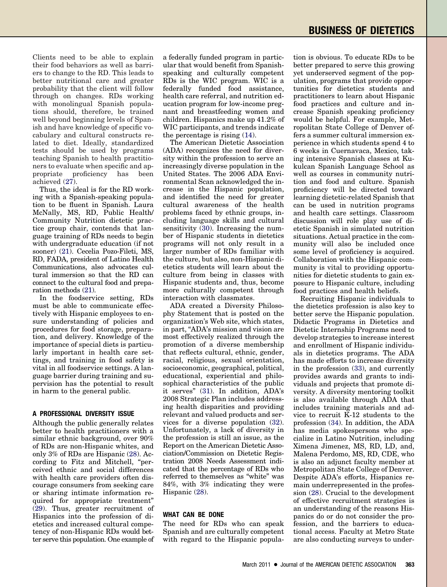Clients need to be able to explain their food behaviors as well as barriers to change to the RD. This leads to better nutritional care and greater probability that the client will follow through on changes. RDs working with monolingual Spanish populations should, therefore, be trained well beyond beginning levels of Spanish and have knowledge of specific vocabulary and cultural constructs related to diet. Ideally, standardized tests should be used by programs teaching Spanish to health practitioners to evaluate when specific and appropriate proficiency has been achieved [\(27\)](#page-4-0).

Thus, the ideal is for the RD working with a Spanish-speaking population to be fluent in Spanish. Laura McNally, MS, RD, Public Health/ Community Nutrition dietetic practice group chair, contends that language training of RDs needs to begin with undergraduate education (if not sooner) [\(21\)](#page-4-0). Cecelia Pozo-Fileti, MS, RD, FADA, president of Latino Health Communications, also advocates cultural immersion so that the RD can connect to the cultural food and preparation methods [\(21\)](#page-4-0).

In the foodservice setting, RDs must be able to communicate effectively with Hispanic employees to ensure understanding of policies and procedures for food storage, preparation, and delivery. Knowledge of the importance of special diets is particularly important in health care settings, and training in food safety is vital in all foodservice settings. A language barrier during training and supervision has the potential to result in harm to the general public.

### **A PROFESSIONAL DIVERSITY ISSUE**

Although the public generally relates better to health practitioners with a similar ethnic background, over 90% of RDs are non-Hispanic whites, and only 3% of RDs are Hispanic [\(28\)](#page-4-0). According to Fitz and Mitchell, "perceived ethnic and social differences with health care providers often discourage consumers from seeking care or sharing intimate information required for appropriate treatment" [\(29\)](#page-4-0). Thus, greater recruitment of Hispanics into the profession of dietetics and increased cultural competency of non-Hispanic RDs would better serve this population. One example of a federally funded program in particular that would benefit from Spanishspeaking and culturally competent RDs is the WIC program. WIC is a federally funded food assistance, health care referral, and nutrition education program for low-income pregnant and breastfeeding women and children. Hispanics make up 41.2% of WIC participants, and trends indicate the percentage is rising [\(14\)](#page-4-0).

The American Dietetic Association (ADA) recognizes the need for diversity within the profession to serve an increasingly diverse population in the United States. The 2006 ADA Environmental Scan acknowledged the increase in the Hispanic population, and identified the need for greater cultural awareness of the health problems faced by ethnic groups, including language skills and cultural sensitivity [\(30\)](#page-4-0). Increasing the number of Hispanic students in dietetics programs will not only result in a larger number of RDs familiar with the culture, but also, non-Hispanic dietetics students will learn about the culture from being in classes with Hispanic students and, thus, become more culturally competent through interaction with classmates.

ADA created a Diversity Philosophy Statement that is posted on the organization's Web site, which states, in part, "ADA's mission and vision are most effectively realized through the promotion of a diverse membership that reflects cultural, ethnic, gender, racial, religious, sexual orientation, socioeconomic, geographical, political, educational, experiential and philosophical characteristics of the public it serves" [\(31\)](#page-4-0). In addition, ADA's 2008 Strategic Plan includes addressing health disparities and providing relevant and valued products and services for a diverse population [\(32\)](#page-4-0). Unfortunately, a lack of diversity in the profession is still an issue, as the Report on the American Dietetic Association/Commission on Dietetic Registration 2008 Needs Assessment indicated that the percentage of RDs who referred to themselves as "white" was 84%, with 3% indicating they were Hispanic [\(28\)](#page-4-0).

### **WHAT CAN BE DONE**

The need for RDs who can speak Spanish and are culturally competent with regard to the Hispanic population is obvious. To educate RDs to be better prepared to serve this growing yet underserved segment of the population, programs that provide opportunities for dietetics students and practitioners to learn about Hispanic food practices and culture and increase Spanish speaking proficiency would be helpful. For example, Metropolitan State College of Denver offers a summer cultural immersion experience in which students spend 4 to 6 weeks in Cuernavaca, Mexico, taking intensive Spanish classes at Kukulcan Spanish Language School as well as courses in community nutrition and food and culture. Spanish proficiency will be directed toward learning dietetic-related Spanish that can be used in nutrition programs and health care settings. Classroom discussion will role play use of dietetic Spanish in simulated nutrition situations. Actual practice in the community will also be included once some level of proficiency is acquired. Collaboration with the Hispanic community is vital to providing opportunities for dietetic students to gain exposure to Hispanic culture, including food practices and health beliefs.

Recruiting Hispanic individuals to the dietetics profession is also key to better serve the Hispanic population. Didactic Programs in Dietetics and Dietetic Internship Programs need to develop strategies to increase interest and enrollment of Hispanic individuals in dietetics programs. The ADA has made efforts to increase diversity in the profession [\(33\)](#page-4-0), and currently provides awards and grants to individuals and projects that promote diversity. A diversity mentoring toolkit is also available through ADA that includes training materials and advice to recruit K-12 students to the profession [\(34\)](#page-4-0). In addition, the ADA has media spokespersons who specialize in Latino Nutrition, including Ximena Jimenez, MS, RD, LD, and, Malena Perdomo, MS, RD, CDE, who is also an adjunct faculty member at Metropolitan State College of Denver. Despite ADA's efforts, Hispanics remain underrepresented in the profession [\(28\)](#page-4-0). Crucial to the development of effective recruitment strategies is an understanding of the reasons Hispanics do or do not consider the profession, and the barriers to educational access. Faculty at Metro State are also conducting surveys to under